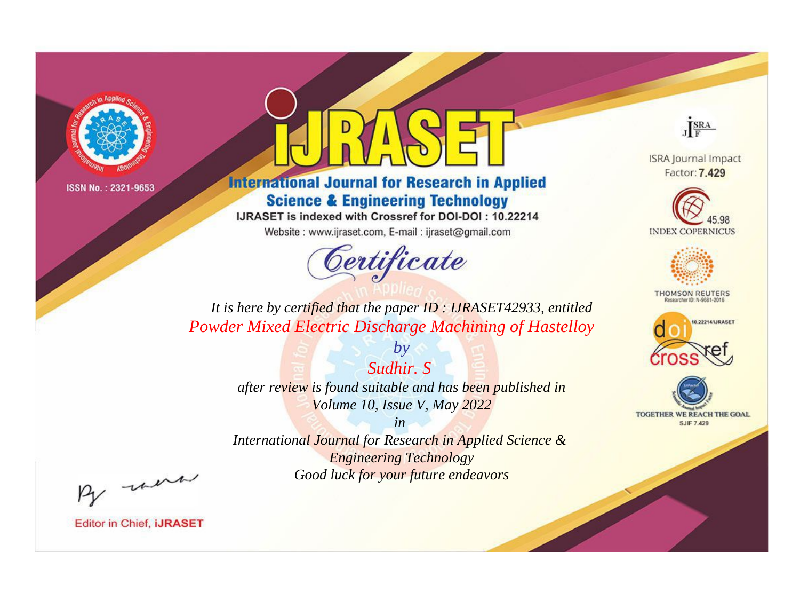

# **International Journal for Research in Applied Science & Engineering Technology**

IJRASET is indexed with Crossref for DOI-DOI: 10.22214

Website: www.ijraset.com, E-mail: ijraset@gmail.com



JERA

**ISRA Journal Impact** Factor: 7.429





**THOMSON REUTERS** 



TOGETHER WE REACH THE GOAL **SJIF 7.429** 

*It is here by certified that the paper ID : IJRASET42933, entitled Powder Mixed Electric Discharge Machining of Hastelloy*

> *Sudhir. S after review is found suitable and has been published in Volume 10, Issue V, May 2022*

*by*

*in* 

*International Journal for Research in Applied Science & Engineering Technology Good luck for your future endeavors*

By morn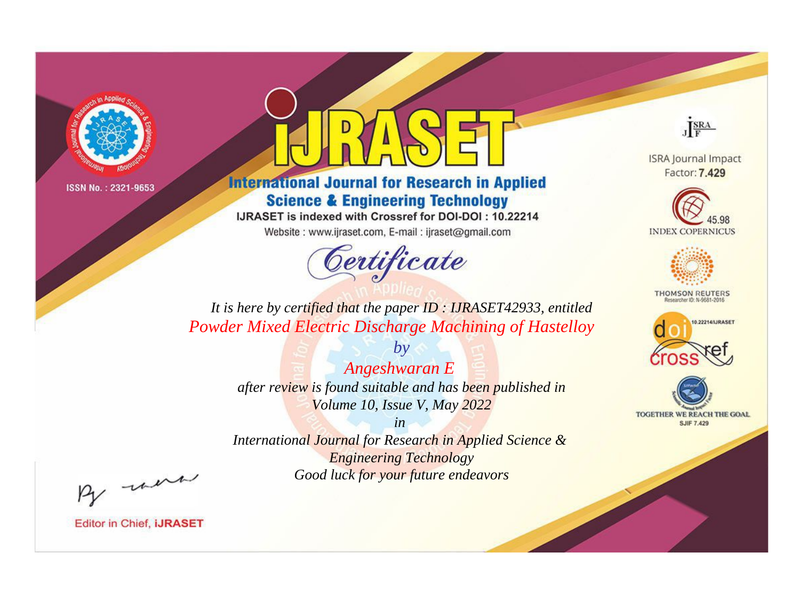

# **International Journal for Research in Applied Science & Engineering Technology**

IJRASET is indexed with Crossref for DOI-DOI: 10.22214

Website: www.ijraset.com, E-mail: ijraset@gmail.com



JERA

**ISRA Journal Impact** Factor: 7.429





**THOMSON REUTERS** 



TOGETHER WE REACH THE GOAL **SJIF 7.429** 

*It is here by certified that the paper ID : IJRASET42933, entitled Powder Mixed Electric Discharge Machining of Hastelloy*

> *Angeshwaran E after review is found suitable and has been published in Volume 10, Issue V, May 2022*

*by*

*in* 

*International Journal for Research in Applied Science & Engineering Technology Good luck for your future endeavors*

By morn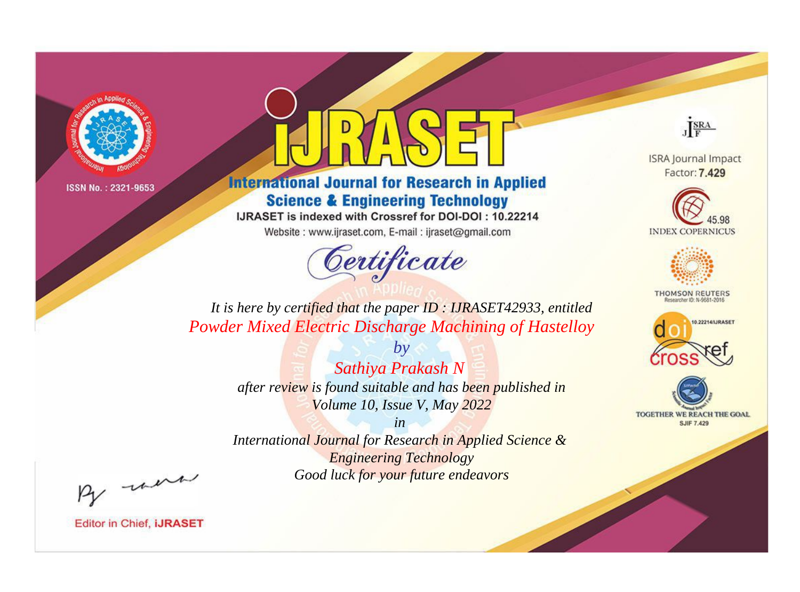

# **International Journal for Research in Applied Science & Engineering Technology**

IJRASET is indexed with Crossref for DOI-DOI: 10.22214

Website: www.ijraset.com, E-mail: ijraset@gmail.com



JERA

**ISRA Journal Impact** Factor: 7.429





**THOMSON REUTERS** 



TOGETHER WE REACH THE GOAL **SJIF 7.429** 

*It is here by certified that the paper ID : IJRASET42933, entitled Powder Mixed Electric Discharge Machining of Hastelloy*

> *Sathiya Prakash N after review is found suitable and has been published in Volume 10, Issue V, May 2022*

*by*

*in* 

*International Journal for Research in Applied Science & Engineering Technology Good luck for your future endeavors*

By morn